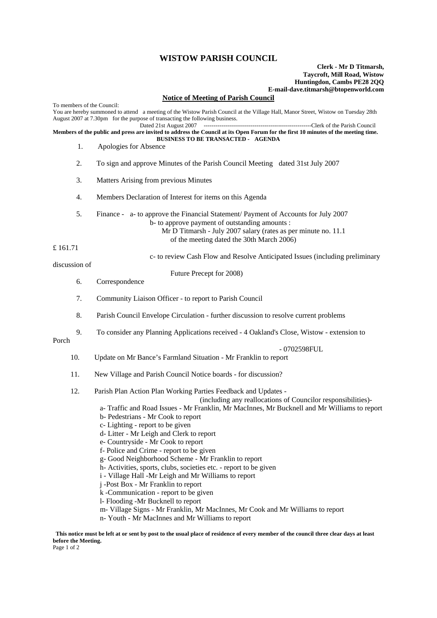## **WISTOW PARISH COUNCIL**

## **Clerk - Mr D Titmarsh, Taycroft, Mill Road, Wistow Huntingdon, Cambs PE28 2QQ E-mail-dave.titmarsh@btopenworld.com**

## **Notice of Meeting of Parish Council**

To members of the Council: You are hereby summoned to attend a meeting of the Wistow Parish Council at the Village Hall, Manor Street, Wistow on Tuesday 28th August 2007 at 7.30pm for the purpose of transacting the following business.<br>Dated 21st August 2007 -----Clerk of the Parish Council **Members of the public and press are invited to address the Council at its Open Forum for the first 10 minutes of the meeting time. BUSINESS TO BE TRANSACTED - AGENDA**  1. Apologies for Absence 2. To sign and approve Minutes of the Parish Council Meeting dated 31st July 2007 3. Matters Arising from previous Minutes 4. Members Declaration of Interest for items on this Agenda 5. Finance - a- to approve the Financial Statement/ Payment of Accounts for July 2007 b- to approve payment of outstanding amounts : Mr D Titmarsh - July 2007 salary (rates as per minute no. 11.1 of the meeting dated the 30th March 2006) £ 161.71 c- to review Cash Flow and Resolve Anticipated Issues (including preliminary discussion of Future Precept for 2008) 6. Correspondence 7. Community Liaison Officer - to report to Parish Council 8. Parish Council Envelope Circulation - further discussion to resolve current problems 9. To consider any Planning Applications received - 4 Oakland's Close, Wistow - extension to Porch - 0702598FUL<br>10. Undate on Mr Bance's Farmland Situation - Mr Franklin to report 10. Update on Mr Bance's Farmland Situation - Mr Franklin to report 11. New Village and Parish Council Notice boards - for discussion? 12. Parish Plan Action Plan Working Parties Feedback and Updates - (including any reallocations of Councilor responsibilities) a- Traffic and Road Issues - Mr Franklin, Mr MacInnes, Mr Bucknell and Mr Williams to report b- Pedestrians - Mr Cook to report c- Lighting - report to be given d- Litter - Mr Leigh and Clerk to report e- Countryside - Mr Cook to report f- Police and Crime - report to be given g- Good Neighborhood Scheme - Mr Franklin to report h- Activities, sports, clubs, societies etc. - report to be given i - Village Hall -Mr Leigh and Mr Williams to report j -Post Box - Mr Franklin to report k -Communication - report to be given l- Flooding -Mr Bucknell to report m- Village Signs - Mr Franklin, Mr MacInnes, Mr Cook and Mr Williams to report

n- Youth - Mr MacInnes and Mr Williams to report

**This notice must be left at or sent by post to the usual place of residence of every member of the council three clear days at least before the Meeting.** Page 1 of 2